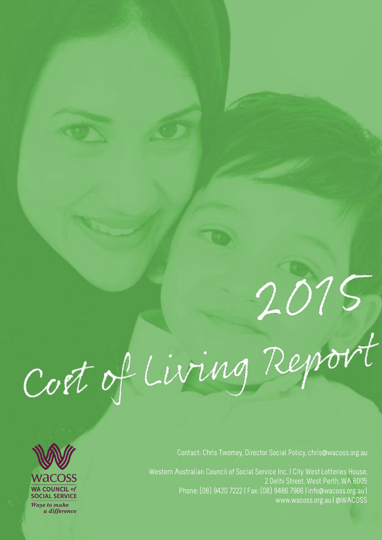# 2015<br>Coet of Living Report



Contact: Chris Twomey, Director Social Policy, chris@wacoss.org.au

Western Australian Council of Social Service Inc. | City West Lotteries House, 2 Delhi Street, West Perth, WA 6005 Phone: (08) 9420 7222 | Fax: (08) 9486 7966 | info@wacoss.org.au | www.wacoss.org.au | @WACOSS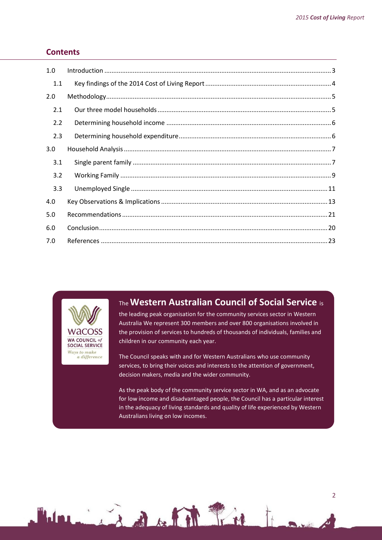## **Contents**

| 1.0 |  |
|-----|--|
| 1.1 |  |
| 2.0 |  |
| 2.1 |  |
| 2.2 |  |
| 2.3 |  |
| 3.0 |  |
| 3.1 |  |
| 3.2 |  |
| 3.3 |  |
| 4.0 |  |
| 5.0 |  |
| 6.0 |  |
| 7.0 |  |



 $\mathbf{W}_{\mathbf{r}}$ 

# The **Western Australian Council of Social Service** is

the leading peak organisation for the community services sector in Western Australia We represent 300 members and over 800 organisations involved in the provision of services to hundreds of thousands of individuals, families and children in our community each year.

The Council speaks with and for Western Australians who use community services, to bring their voices and interests to the attention of government, decision makers, media and the wider community.

As the peak body of the community service sector in WA, and as an advocate for low income and disadvantaged people, the Council has a particular interest in the adequacy of living standards and quality of life experienced by Western Australians living on low incomes.

Line of Bath Time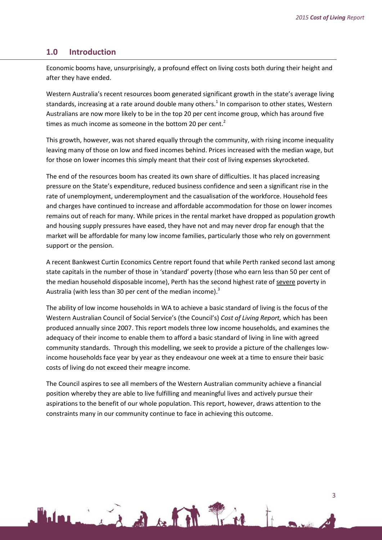#### <span id="page-2-0"></span>**1.0 Introduction**

Economic booms have, unsurprisingly, a profound effect on living costs both during their height and after they have ended.

Western Australia's recent resources boom generated significant growth in the state's average living standards, increasing at a rate around double many others.<sup>1</sup> In comparison to other states, Western Australians are now more likely to be in the top 20 per cent income group, which has around five times as much income as someone in the bottom 20 per cent. $<sup>2</sup>$ </sup>

This growth, however, was not shared equally through the community, with rising income inequality leaving many of those on low and fixed incomes behind. Prices increased with the median wage, but for those on lower incomes this simply meant that their cost of living expenses skyrocketed.

The end of the resources boom has created its own share of difficulties. It has placed increasing pressure on the State's expenditure, reduced business confidence and seen a significant rise in the rate of unemployment, underemployment and the casualisation of the workforce. Household fees and charges have continued to increase and affordable accommodation for those on lower incomes remains out of reach for many. While prices in the rental market have dropped as population growth and housing supply pressures have eased, they have not and may never drop far enough that the market will be affordable for many low income families, particularly those who rely on government support or the pension.

A recent Bankwest Curtin Economics Centre report found that while Perth ranked second last among state capitals in the number of those in 'standard' poverty (those who earn less than 50 per cent of the median household disposable income), Perth has the second highest rate of severe poverty in Australia (with less than 30 per cent of the median income). $3$ 

The ability of low income households in WA to achieve a basic standard of living is the focus of the Western Australian Council of Social Service's (the Council's) *Cost of Living Report,* which has been produced annually since 2007. This report models three low income households, and examines the adequacy of their income to enable them to afford a basic standard of living in line with agreed community standards. Through this modelling, we seek to provide a picture of the challenges lowincome households face year by year as they endeavour one week at a time to ensure their basic costs of living do not exceed their meagre income.

The Council aspires to see all members of the Western Australian community achieve a financial position whereby they are able to live fulfilling and meaningful lives and actively pursue their aspirations to the benefit of our whole population. This report, however, draws attention to the constraints many in our community continue to face in achieving this outcome.

1 is a film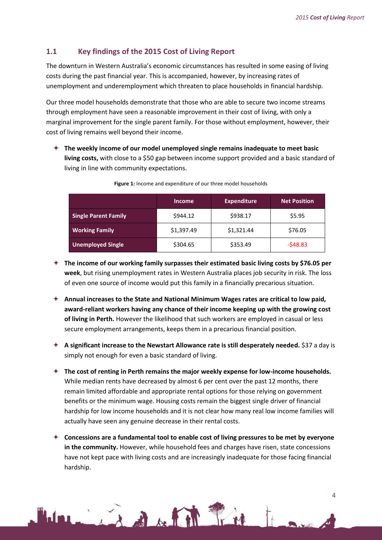$\overline{\mathbf{A}}$ 

# <span id="page-3-0"></span>**1.1 Key findings of the 2015 Cost of Living Report**

The downturn in Western Australia's economic circumstances has resulted in some easing of living costs during the past financial year. This is accompanied, however, by increasing rates of unemployment and underemployment which threaten to place households in financial hardship.

Our three model households demonstrate that those who are able to secure two income streams through employment have seen a reasonable improvement in their cost of living, with only a marginal improvement for the single parent family. For those without employment, however, their cost of living remains well beyond their income.

 **The weekly income of our model unemployed single remains inadequate to meet basic**  living costs, with close to a \$50 gap between income support provided and a basic standard of living in line with community expectations.

|                             | <b>Income</b> | <b>Expenditure</b> | <b>Net Position</b> |
|-----------------------------|---------------|--------------------|---------------------|
| <b>Single Parent Family</b> | \$944.12      | \$938.17           | \$5.95              |
| <b>Working Family</b>       | \$1,397.49    | \$1,321.44         | \$76.05             |
| <b>Unemployed Single</b>    | \$304.65      | \$353.49           | $-548.83$           |

| Figure 1: Income and expenditure of our three model households |  |  |
|----------------------------------------------------------------|--|--|
|                                                                |  |  |

- **The income of our working family surpasses their estimated basic living costs by \$76.05 per week**, but rising unemployment rates in Western Australia places job security in risk. The loss of even one source of income would put this family in a financially precarious situation.
- **Annual increases to the State and National Minimum Wages rates are critical to low paid, award-reliant workers having any chance of their income keeping up with the growing cost of living in Perth.** However the likelihood that such workers are employed in casual or less secure employment arrangements, keeps them in a precarious financial position.
- **A significant increase to the Newstart Allowance rate is still desperately needed.** \$37 a day is simply not enough for even a basic standard of living.
- **The cost of renting in Perth remains the major weekly expense for low-income households.** While median rents have decreased by almost 6 per cent over the past 12 months, there remain limited affordable and appropriate rental options for those relying on government benefits or the minimum wage. Housing costs remain the biggest single driver of financial hardship for low income households and it is not clear how many real low income families will actually have seen any genuine decrease in their rental costs.
- **Concessions are a fundamental tool to enable cost of living pressures to be met by everyone in the community.** However, while household fees and charges have risen, state concessions have not kept pace with living costs and are increasingly inadequate for those facing financial hardship.

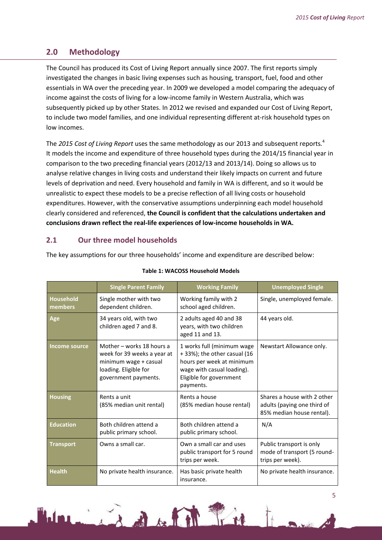# <span id="page-4-0"></span>**2.0 Methodology**

The Council has produced its Cost of Living Report annually since 2007. The first reports simply investigated the changes in basic living expenses such as housing, transport, fuel, food and other essentials in WA over the preceding year. In 2009 we developed a model comparing the adequacy of income against the costs of living for a low-income family in Western Australia, which was subsequently picked up by other States. In 2012 we revised and expanded our Cost of Living Report, to include two model families, and one individual representing different at-risk household types on low incomes.

The *2015 Cost of Living Report* uses the same methodology as our 2013 and subsequent reports*.* 4 It models the income and expenditure of three household types during the 2014/15 financial year in comparison to the two preceding financial years (2012/13 and 2013/14). Doing so allows us to analyse relative changes in living costs and understand their likely impacts on current and future levels of deprivation and need. Every household and family in WA is different, and so it would be unrealistic to expect these models to be a precise reflection of all living costs or household expenditures. However, with the conservative assumptions underpinning each model household clearly considered and referenced, **the Council is confident that the calculations undertaken and conclusions drawn reflect the real-life experiences of low-income households in WA.**

## <span id="page-4-1"></span>**2.1 Our three model households**

The key assumptions for our three households' income and expenditure are described below:

|                             | <b>Single Parent Family</b>                                                                                                        | <b>Working Family</b>                                                                                                                                         | <b>Unemployed Single</b>                                                                |
|-----------------------------|------------------------------------------------------------------------------------------------------------------------------------|---------------------------------------------------------------------------------------------------------------------------------------------------------------|-----------------------------------------------------------------------------------------|
| <b>Household</b><br>members | Single mother with two<br>dependent children.                                                                                      | Working family with 2<br>school aged children.                                                                                                                | Single, unemployed female.                                                              |
| Age                         | 34 years old, with two<br>children aged 7 and 8.                                                                                   | 2 adults aged 40 and 38<br>years, with two children<br>aged 11 and 13.                                                                                        | 44 years old.                                                                           |
| Income source               | Mother - works 18 hours a<br>week for 39 weeks a year at<br>minimum wage + casual<br>loading. Eligible for<br>government payments. | 1 works full (minimum wage<br>+ 33%); the other casual (16<br>hours per week at minimum<br>wage with casual loading).<br>Eligible for government<br>payments. | Newstart Allowance only.                                                                |
| <b>Housing</b>              | Rents a unit<br>(85% median unit rental)                                                                                           | Rents a house<br>(85% median house rental)                                                                                                                    | Shares a house with 2 other<br>adults (paying one third of<br>85% median house rental). |
| <b>Education</b>            | Both children attend a<br>public primary school.                                                                                   | Both children attend a<br>public primary school.                                                                                                              | N/A                                                                                     |
| <b>Transport</b>            | Owns a small car.                                                                                                                  | Own a small car and uses<br>public transport for 5 round<br>trips per week.                                                                                   | Public transport is only<br>mode of transport (5 round-<br>trips per week).             |
| <b>Health</b>               | No private health insurance.                                                                                                       | Has basic private health<br>insurance.                                                                                                                        | No private health insurance.                                                            |

#### **Table 1: WACOSS Household Models**

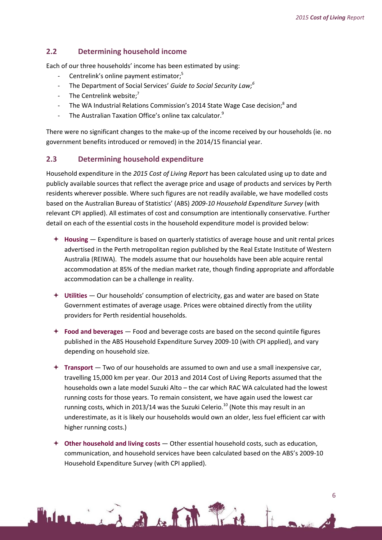#### <span id="page-5-0"></span>**2.2 Determining household income**

Each of our three households' income has been estimated by using:

- Centrelink's online payment estimator;<sup>5</sup>
- The Department of Social Services' *Guide to Social Security Law; 6*
- The Centrelink website;<sup>7</sup>
- The WA Industrial Relations Commission's 2014 State Wage Case decision;<sup>8</sup> and
- The Australian Taxation Office's online tax calculator.<sup>9</sup>

There were no significant changes to the make-up of the income received by our households (ie. no government benefits introduced or removed) in the 2014/15 financial year.

#### <span id="page-5-1"></span>**2.3 Determining household expenditure**

Household expenditure in the *2015 Cost of Living Report* has been calculated using up to date and publicly available sources that reflect the average price and usage of products and services by Perth residents wherever possible. Where such figures are not readily available, we have modelled costs based on the Australian Bureau of Statistics' (ABS) *2009-10 Household Expenditure Survey* (with relevant CPI applied). All estimates of cost and consumption are intentionally conservative. Further detail on each of the essential costs in the household expenditure model is provided below:

- **Housing** Expenditure is based on quarterly statistics of average house and unit rental prices advertised in the Perth metropolitan region published by the Real Estate Institute of Western Australia (REIWA). The models assume that our households have been able acquire rental accommodation at 85% of the median market rate, though finding appropriate and affordable accommodation can be a challenge in reality.
- **Utilities** Our households' consumption of electricity, gas and water are based on State Government estimates of average usage. Prices were obtained directly from the utility providers for Perth residential households.
- **Food and beverages** Food and beverage costs are based on the second quintile figures published in the ABS Household Expenditure Survey 2009-10 (with CPI applied), and vary depending on household size.
- **Transport** Two of our households are assumed to own and use a small inexpensive car, travelling 15,000 km per year. Our 2013 and 2014 Cost of Living Reports assumed that the households own a late model Suzuki Alto – the car which RAC WA calculated had the lowest running costs for those years. To remain consistent, we have again used the lowest car running costs, which in 2013/14 was the Suzuki Celerio.<sup>10</sup> (Note this may result in an underestimate, as it is likely our households would own an older, less fuel efficient car with higher running costs.)
- **Other household and living costs** Other essential household costs, such as education, communication, and household services have been calculated based on the ABS's 2009-10 Household Expenditure Survey (with CPI applied).

Light Pin



6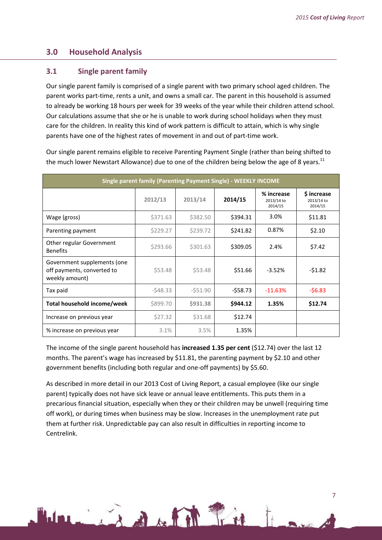### <span id="page-6-0"></span>**3.0 Household Analysis**

#### <span id="page-6-1"></span>**3.1 Single parent family**

Our single parent family is comprised of a single parent with two primary school aged children. The parent works part-time, rents a unit, and owns a small car. The parent in this household is assumed to already be working 18 hours per week for 39 weeks of the year while their children attend school. Our calculations assume that she or he is unable to work during school holidays when they must care for the children. In reality this kind of work pattern is difficult to attain, which is why single parents have one of the highest rates of movement in and out of part-time work.

Our single parent remains eligible to receive Parenting Payment Single (rather than being shifted to the much lower Newstart Allowance) due to one of the children being below the age of 8 years.<sup>11</sup>

| <b>Single parent family (Parenting Payment Single) - WEEKLY INCOME</b>      |           |           |           |                                     |                                      |  |
|-----------------------------------------------------------------------------|-----------|-----------|-----------|-------------------------------------|--------------------------------------|--|
|                                                                             | 2012/13   | 2013/14   | 2014/15   | % increase<br>2013/14 to<br>2014/15 | \$ increase<br>2013/14 to<br>2014/15 |  |
| Wage (gross)                                                                | \$371.63  | \$382.50  | \$394.31  | 3.0%                                | \$11.81                              |  |
| Parenting payment                                                           | \$229.27  | \$239.72  | \$241.82  | 0.87%                               | \$2.10                               |  |
| Other regular Government<br><b>Benefits</b>                                 | \$293.66  | \$301.63  | \$309.05  | 2.4%                                | \$7.42                               |  |
| Government supplements (one<br>off payments, converted to<br>weekly amount) | \$53.48   | \$53.48   | \$51.66   | $-3.52%$                            | $-51.82$                             |  |
| Tax paid                                                                    | $-548.33$ | $-551.90$ | $-558.73$ | $-11.63%$                           | $-56.83$                             |  |
| Total household income/week                                                 | \$899.70  | \$931.38  | \$944.12  | 1.35%                               | \$12.74                              |  |
| Increase on previous year                                                   | \$27.32   | \$31.68   | \$12.74   |                                     |                                      |  |
| % increase on previous year                                                 | 3.1%      | 3.5%      | 1.35%     |                                     |                                      |  |

The income of the single parent household has **increased 1.35 per cent** (\$12.74) over the last 12 months. The parent's wage has increased by \$11.81, the parenting payment by \$2.10 and other government benefits (including both regular and one-off payments) by \$5.60.

As described in more detail in our 2013 Cost of Living Report, a casual employee (like our single parent) typically does not have sick leave or annual leave entitlements. This puts them in a precarious financial situation, especially when they or their children may be unwell (requiring time off work), or during times when business may be slow. Increases in the unemployment rate put them at further risk. Unpredictable pay can also result in difficulties in reporting income to Centrelink.

Hairly of the Time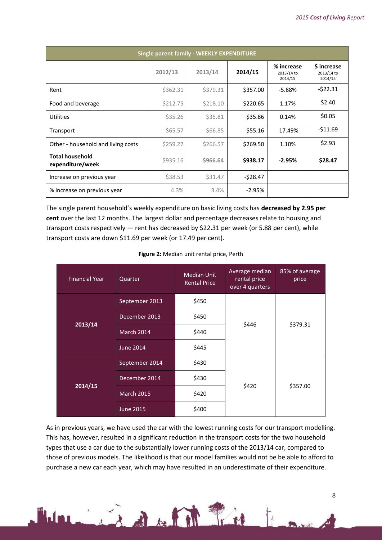| Single parent family - WEEKLY EXPENDITURE  |          |          |           |                                     |                                      |
|--------------------------------------------|----------|----------|-----------|-------------------------------------|--------------------------------------|
|                                            | 2012/13  | 2013/14  | 2014/15   | % increase<br>2013/14 to<br>2014/15 | \$ increase<br>2013/14 to<br>2014/15 |
| Rent                                       | \$362.31 | \$379.31 | \$357.00  | $-5.88%$                            | $-522.31$                            |
| Food and beverage                          | \$212.75 | \$218.10 | \$220.65  | 1.17%                               | \$2.40                               |
| <b>Utilities</b>                           | \$35.26  | \$35.81  | \$35.86   | 0.14%                               | \$0.05                               |
| Transport                                  | \$65.57  | \$66.85  | \$55.16   | $-17.49%$                           | $-$11.69$                            |
| Other - household and living costs         | \$259.27 | \$266.57 | \$269.50  | 1.10%                               | \$2.93                               |
| <b>Total household</b><br>expenditure/week | \$935.16 | \$966.64 | \$938.17  | $-2.95%$                            | \$28.47                              |
| Increase on previous year                  | \$38.53  | \$31.47  | $-528.47$ |                                     |                                      |
| % increase on previous year                | 4.3%     | 3.4%     | $-2.95%$  |                                     |                                      |

The single parent household's weekly expenditure on basic living costs has **decreased by 2.95 per cent** over the last 12 months. The largest dollar and percentage decreases relate to housing and transport costs respectively — rent has decreased by \$22.31 per week (or 5.88 per cent), while transport costs are down \$11.69 per week (or 17.49 per cent).

| Figure 2: Median unit rental price, Perth |  |  |  |  |  |
|-------------------------------------------|--|--|--|--|--|
|-------------------------------------------|--|--|--|--|--|

| <b>Financial Year</b> | Quarter           | <b>Median Unit</b><br><b>Rental Price</b> | Average median<br>rental price<br>over 4 quarters | 85% of average<br>price |  |
|-----------------------|-------------------|-------------------------------------------|---------------------------------------------------|-------------------------|--|
|                       | September 2013    | \$450                                     |                                                   |                         |  |
| 2013/14               | December 2013     | \$450                                     | \$446                                             | \$379.31                |  |
|                       | March 2014        | \$440                                     |                                                   |                         |  |
|                       | <b>June 2014</b>  | \$445                                     |                                                   |                         |  |
|                       | September 2014    | \$430                                     |                                                   |                         |  |
| 2014/15               | December 2014     | \$430                                     | \$420                                             | \$357.00                |  |
|                       | <b>March 2015</b> | \$420                                     |                                                   |                         |  |
|                       | <b>June 2015</b>  | \$400                                     |                                                   |                         |  |

As in previous years, we have used the car with the lowest running costs for our transport modelling. This has, however, resulted in a significant reduction in the transport costs for the two household types that use a car due to the substantially lower running costs of the 2013/14 car, compared to those of previous models. The likelihood is that our model families would not be be able to afford to purchase a new car each year, which may have resulted in an underestimate of their expenditure.

Line of Bath Tri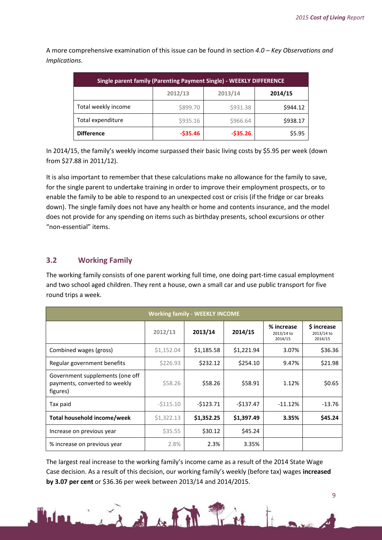A more comprehensive examination of this issue can be found in section *4.0 – Key Observations and Implications*.

| <b>Single parent family (Parenting Payment Single) - WEEKLY DIFFERENCE</b> |                               |           |          |  |  |  |  |
|----------------------------------------------------------------------------|-------------------------------|-----------|----------|--|--|--|--|
|                                                                            | 2012/13<br>2013/14<br>2014/15 |           |          |  |  |  |  |
| Total weekly income                                                        | \$899.70                      | \$931.38  | \$944.12 |  |  |  |  |
| Total expenditure                                                          | \$935.16                      | \$966.64  | \$938.17 |  |  |  |  |
| <b>Difference</b>                                                          | $-535.46$                     | $-535.26$ | \$5.95   |  |  |  |  |

In 2014/15, the family's weekly income surpassed their basic living costs by \$5.95 per week (down from \$27.88 in 2011/12).

It is also important to remember that these calculations make no allowance for the family to save, for the single parent to undertake training in order to improve their employment prospects, or to enable the family to be able to respond to an unexpected cost or crisis (if the fridge or car breaks down). The single family does not have any health or home and contents insurance, and the model does not provide for any spending on items such as birthday presents, school excursions or other "non-essential" items.

## <span id="page-8-0"></span>**3.2 Working Family**

The working family consists of one parent working full time, one doing part-time casual employment and two school aged children. They rent a house, own a small car and use public transport for five round trips a week.

| <b>Working family - WEEKLY INCOME</b>                                        |            |            |            |                                     |                                            |  |
|------------------------------------------------------------------------------|------------|------------|------------|-------------------------------------|--------------------------------------------|--|
|                                                                              | 2012/13    | 2013/14    | 2014/15    | % increase<br>2013/14 to<br>2014/15 | <b>S</b> increase<br>2013/14 to<br>2014/15 |  |
| Combined wages (gross)                                                       | \$1,152.04 | \$1,185.58 | \$1,221.94 | 3.07%                               | \$36.36                                    |  |
| Regular government benefits                                                  | \$226.93   | \$232.12   | \$254.10   | 9.47%                               | \$21.98                                    |  |
| Government supplements (one off<br>payments, converted to weekly<br>figures) | \$58.26    | \$58.26    | \$58.91    | 1.12%                               | \$0.65                                     |  |
| Tax paid                                                                     | $-5115.10$ | $-5123.71$ | $-5137.47$ | $-11.12%$                           | $-13.76$                                   |  |
| Total household income/week                                                  | \$1,322.13 | \$1,352.25 | \$1,397.49 | 3.35%                               | \$45.24                                    |  |
| Increase on previous year                                                    | \$35.55    | \$30.12    | \$45.24    |                                     |                                            |  |
| % increase on previous year                                                  | 2.8%       | 2.3%       | 3.35%      |                                     |                                            |  |

The largest real increase to the working family's income came as a result of the 2014 State Wage Case decision. As a result of this decision, our working family's weekly (before tax) wages **increased by 3.07 per cent** or \$36.36 per week between 2013/14 and 2014/2015.

Line Bath Pin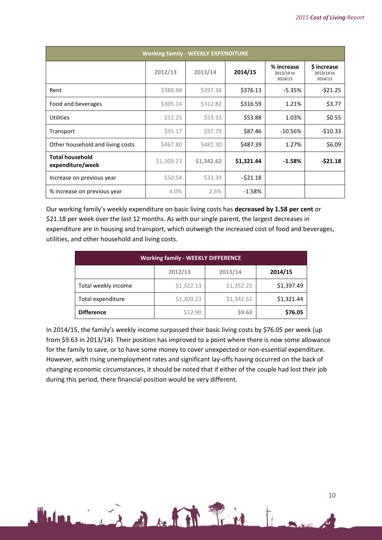| <b>Working family - WEEKLY EXPENDITURE</b> |            |            |            |                                     |                                            |  |
|--------------------------------------------|------------|------------|------------|-------------------------------------|--------------------------------------------|--|
|                                            | 2012/13    | 2013/14    | 2014/15    | % increase<br>2013/14 to<br>2014/15 | <b>S</b> increase<br>2013/14 to<br>2014/15 |  |
| Rent                                       | \$388.88   | \$397.38   | \$376.13   | $-5.35%$                            | $-521.25$                                  |  |
| Food and beverages                         | \$305.14   | \$312.82   | \$316.59   | 1.21%                               | \$3.77                                     |  |
| Utilities                                  | \$52.25    | \$53.33    | \$53.88    | 1.03%                               | \$0.55                                     |  |
| Transport                                  | \$95.17    | S97.79     | \$87.46    | $-10.56%$                           | $-$10.33$                                  |  |
| Other household and living costs           | \$467.80   | \$481.30   | \$487.39   | 1.27%                               | \$6.09                                     |  |
| <b>Total household</b><br>expenditure/week | \$1,309.23 | \$1,342.62 | \$1,321.44 | $-1.58%$                            | $-521.18$                                  |  |
| Increase on previous year                  | \$50.54    | \$33.39    | $-521.18$  |                                     |                                            |  |
| % increase on previous year                | 4.0%       | 2.6%       | $-1.58%$   |                                     |                                            |  |

Our working family's weekly expenditure on basic living costs has **decreased by 1.58 per cent** or \$21.18 per week over the last 12 months. As with our single parent, the largest decreases in expenditure are in housing and transport, which outweigh the increased cost of food and beverages, utilities, and other household and living costs.

| <b>Working family - WEEKLY DIFFERENCE</b> |            |            |            |  |  |  |  |
|-------------------------------------------|------------|------------|------------|--|--|--|--|
| 2012/13<br>2013/14<br>2014/15             |            |            |            |  |  |  |  |
| Total weekly income                       | \$1,322.13 | \$1,352.25 | \$1,397.49 |  |  |  |  |
| Total expenditure                         | \$1,309.23 | \$1,342.62 | \$1,321.44 |  |  |  |  |
| <b>Difference</b>                         | \$12.90    | \$9.63     | \$76.05    |  |  |  |  |

In 2014/15, the family's weekly income surpassed their basic living costs by \$76.05 per week (up from \$9.63 in 2013/14). Their position has improved to a point where there is now some allowance for the family to save, or to have some money to cover unexpected or non-essential expenditure. However, with rising unemployment rates and significant lay-offs having occurred on the back of changing economic circumstances, it should be noted that if either of the couple had lost their job during this period, there financial position would be very different.

Light Pin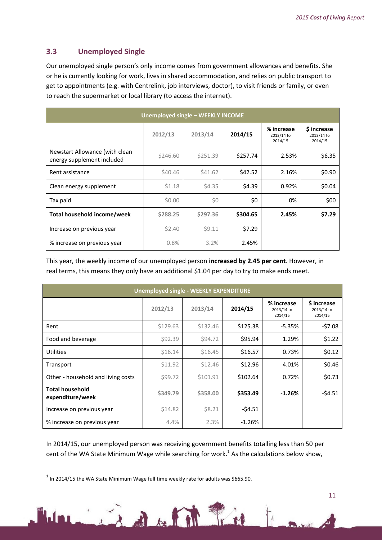# <span id="page-10-0"></span>**3.3 Unemployed Single**

Our unemployed single person's only income comes from government allowances and benefits. She or he is currently looking for work, lives in shared accommodation, and relies on public transport to get to appointments (e.g. with Centrelink, job interviews, doctor), to visit friends or family, or even to reach the supermarket or local library (to access the internet).

| Unemployed single - WEEKLY INCOME                            |          |          |          |                                     |                                      |
|--------------------------------------------------------------|----------|----------|----------|-------------------------------------|--------------------------------------|
|                                                              | 2012/13  | 2013/14  | 2014/15  | % increase<br>2013/14 to<br>2014/15 | \$ increase<br>2013/14 to<br>2014/15 |
| Newstart Allowance (with clean<br>energy supplement included | \$246.60 | \$251.39 | \$257.74 | 2.53%                               | \$6.35                               |
| Rent assistance                                              | \$40.46  | \$41.62  | \$42.52  | 2.16%                               | \$0.90                               |
| Clean energy supplement                                      | \$1.18   | \$4.35   | \$4.39   | 0.92%                               | \$0.04                               |
| Tax paid                                                     | \$0.00   | \$0      | \$0      | 0%                                  | \$00                                 |
| <b>Total household income/week</b>                           | \$288.25 | \$297.36 | \$304.65 | 2.45%                               | \$7.29                               |
| Increase on previous year                                    | \$2.40   | \$9.11   | \$7.29   |                                     |                                      |
| % increase on previous year                                  | 0.8%     | 3.2%     | 2.45%    |                                     |                                      |

This year, the weekly income of our unemployed person **increased by 2.45 per cent**. However, in real terms, this means they only have an additional \$1.04 per day to try to make ends meet.

| <b>Unemployed single - WEEKLY EXPENDITURE</b> |          |          |          |                                     |                                      |
|-----------------------------------------------|----------|----------|----------|-------------------------------------|--------------------------------------|
|                                               | 2012/13  | 2013/14  | 2014/15  | % increase<br>2013/14 to<br>2014/15 | \$ increase<br>2013/14 to<br>2014/15 |
| Rent                                          | \$129.63 | \$132.46 | \$125.38 | $-5.35%$                            | $-57.08$                             |
| Food and beverage                             | \$92.39  | \$94.72  | \$95.94  | 1.29%                               | \$1.22                               |
| Utilities                                     | \$16.14  | \$16.45  | \$16.57  | 0.73%                               | \$0.12                               |
| Transport                                     | \$11.92  | \$12.46  | \$12.96  | 4.01%                               | \$0.46                               |
| Other - household and living costs            | \$99.72  | \$101.91 | \$102.64 | 0.72%                               | \$0.73                               |
| <b>Total household</b><br>expenditure/week    | \$349.79 | \$358.00 | \$353.49 | $-1.26%$                            | $-54.51$                             |
| Increase on previous year                     | \$14.82  | \$8.21   | $-54.51$ |                                     |                                      |
| % increase on previous year                   | 4.4%     | 2.3%     | $-1.26%$ |                                     |                                      |

In 2014/15, our unemployed person was receiving government benefits totalling less than 50 per cent of the WA State Minimum Wage while searching for work.<sup>1</sup> As the calculations below show,

in the film

**.** 

 $^1$  In 2014/15 the WA State Minimum Wage full time weekly rate for adults was \$665.90.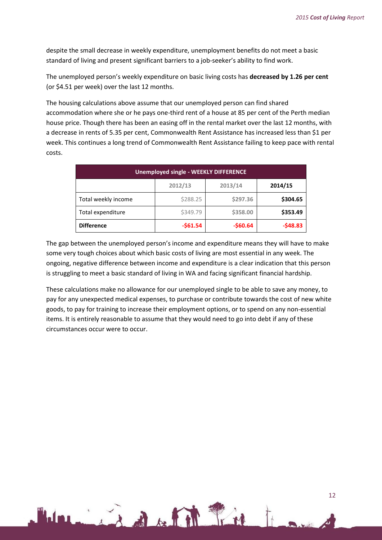despite the small decrease in weekly expenditure, unemployment benefits do not meet a basic standard of living and present significant barriers to a job-seeker's ability to find work.

The unemployed person's weekly expenditure on basic living costs has **decreased by 1.26 per cent** (or \$4.51 per week) over the last 12 months.

The housing calculations above assume that our unemployed person can find shared accommodation where she or he pays one-third rent of a house at 85 per cent of the Perth median house price. Though there has been an easing off in the rental market over the last 12 months, with a decrease in rents of 5.35 per cent, Commonwealth Rent Assistance has increased less than \$1 per week. This continues a long trend of Commonwealth Rent Assistance failing to keep pace with rental costs.

| <b>Unemployed single - WEEKLY DIFFERENCE</b> |           |           |           |  |
|----------------------------------------------|-----------|-----------|-----------|--|
|                                              | 2012/13   | 2013/14   | 2014/15   |  |
| Total weekly income                          | \$288.25  | \$297.36  | \$304.65  |  |
| Total expenditure                            | \$349.79  | \$358.00  | \$353.49  |  |
| <b>Difference</b>                            | $-$61.54$ | $-$60.64$ | $-548.83$ |  |

The gap between the unemployed person's income and expenditure means they will have to make some very tough choices about which basic costs of living are most essential in any week. The ongoing, negative difference between income and expenditure is a clear indication that this person is struggling to meet a basic standard of living in WA and facing significant financial hardship.

These calculations make no allowance for our unemployed single to be able to save any money, to pay for any unexpected medical expenses, to purchase or contribute towards the cost of new white goods, to pay for training to increase their employment options, or to spend on any non-essential items. It is entirely reasonable to assume that they would need to go into debt if any of these circumstances occur were to occur.

1 in 1 de la 1 fre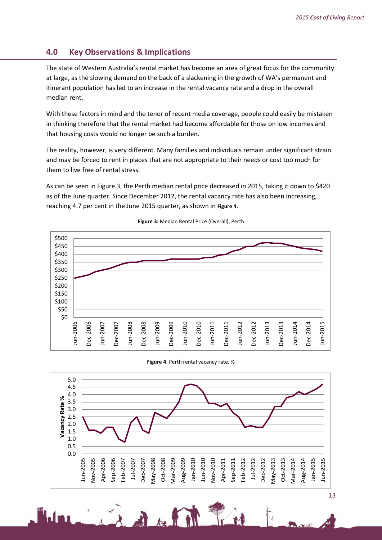# <span id="page-12-0"></span>**4.0 Key Observations & Implications**

The state of Western Australia's rental market has become an area of great focus for the community at large, as the slowing demand on the back of a slackening in the growth of WA's permanent and itinerant population has led to an increase in the rental vacancy rate and a drop in the overall median rent.

With these factors in mind and the tenor of recent media coverage, people could easily be mistaken in thinking therefore that the rental market had become affordable for those on low incomes and that housing costs would no longer be such a burden.

The reality, however, is very different. Many families and individuals remain under significant strain and may be forced to rent in places that are not appropriate to their needs or cost too much for them to live free of rental stress.

As can be seen in Figure 3, the Perth median rental price decreased in 2015, taking it down to \$420 as of the June quarter. Since December 2012, the rental vacancy rate has also been increasing, reaching 4.7 per cent in the June 2015 quarter, as shown in **[Figure 4](#page-12-1)**.



**Figure 3:** Median Rental Price (Overall), Perth

**Figure 4**: Perth rental vacancy rate, %

<span id="page-12-1"></span>

小人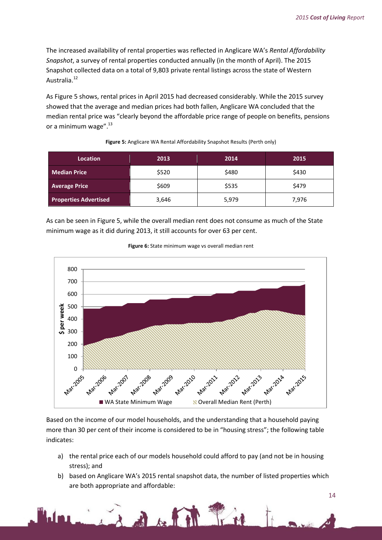The increased availability of rental properties was reflected in Anglicare WA's *Rental Affordability Snapshot*, a survey of rental properties conducted annually (in the month of April). The 2015 Snapshot collected data on a total of 9,803 private rental listings across the state of Western Australia.<sup>12</sup>

As Figure 5 shows, rental prices in April 2015 had decreased considerably. While the 2015 survey showed that the average and median prices had both fallen, Anglicare WA concluded that the median rental price was "clearly beyond the affordable price range of people on benefits, pensions or a minimum wage". $^{13}$ 

| <b>Location</b>              | 2013  | 2014  | 2015  |
|------------------------------|-------|-------|-------|
| <b>Median Price</b>          | \$520 | \$480 | \$430 |
| <b>Average Price</b>         | \$609 | \$535 | \$479 |
| <b>Properties Advertised</b> | 3,646 | 5,979 | 7,976 |

#### **Figure 5:** Anglicare WA Rental Affordability Snapshot Results (Perth only)

As can be seen in Figure 5, while the overall median rent does not consume as much of the State minimum wage as it did during 2013, it still accounts for over 63 per cent.





Based on the income of our model households, and the understanding that a household paying more than 30 per cent of their income is considered to be in "housing stress"; the following table indicates:

- a) the rental price each of our models household could afford to pay (and not be in housing stress); and
- b) based on Anglicare WA's 2015 rental snapshot data, the number of listed properties which are both appropriate and affordable:

in The Bally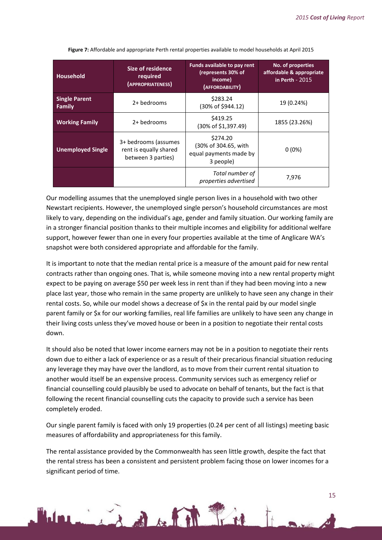| <b>Household</b>                      | Size of residence<br>required<br>(APPROPRIATENESS)                   | <b>Funds available to pay rent</b><br>(represents 30% of<br>income)<br>(AFFORDABILITY) | No. of properties<br>affordable & appropriate<br>in Perth - 2015 |
|---------------------------------------|----------------------------------------------------------------------|----------------------------------------------------------------------------------------|------------------------------------------------------------------|
| <b>Single Parent</b><br><b>Family</b> | 2+ bedrooms                                                          | \$283.24<br>(30% of \$944.12)                                                          | 19 (0.24%)                                                       |
| <b>Working Family</b>                 | 2+ bedrooms                                                          | \$419.25<br>(30% of \$1,397.49)                                                        | 1855 (23.26%)                                                    |
| <b>Unemployed Single</b>              | 3+ bedrooms (assumes<br>rent is equally shared<br>between 3 parties) | \$274.20<br>(30% of 304.65, with<br>equal payments made by<br>3 people)                | $0(0\%)$                                                         |
|                                       |                                                                      | Total number of<br>properties advertised                                               | 7.976                                                            |

**Figure 7:** Affordable and appropriate Perth rental properties available to model households at April 2015

Our modelling assumes that the unemployed single person lives in a household with two other Newstart recipients. However, the unemployed single person's household circumstances are most likely to vary, depending on the individual's age, gender and family situation. Our working family are in a stronger financial position thanks to their multiple incomes and eligibility for additional welfare support, however fewer than one in every four properties available at the time of Anglicare WA's snapshot were both considered appropriate and affordable for the family.

It is important to note that the median rental price is a measure of the amount paid for new rental contracts rather than ongoing ones. That is, while someone moving into a new rental property might expect to be paying on average \$50 per week less in rent than if they had been moving into a new place last year, those who remain in the same property are unlikely to have seen any change in their rental costs. So, while our model shows a decrease of \$x in the rental paid by our model single parent family or \$x for our working families, real life families are unlikely to have seen any change in their living costs unless they've moved house or been in a position to negotiate their rental costs down.

It should also be noted that lower income earners may not be in a position to negotiate their rents down due to either a lack of experience or as a result of their precarious financial situation reducing any leverage they may have over the landlord, as to move from their current rental situation to another would itself be an expensive process. Community services such as emergency relief or financial counselling could plausibly be used to advocate on behalf of tenants, but the fact is that following the recent financial counselling cuts the capacity to provide such a service has been completely eroded.

Our single parent family is faced with only 19 properties (0.24 per cent of all listings) meeting basic measures of affordability and appropriateness for this family.

The rental assistance provided by the Commonwealth has seen little growth, despite the fact that the rental stress has been a consistent and persistent problem facing those on lower incomes for a significant period of time.

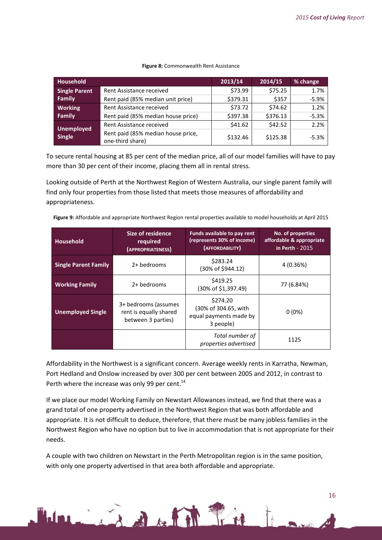|  | Figure 8: Commonwealth Rent Assistance |  |  |
|--|----------------------------------------|--|--|
|--|----------------------------------------|--|--|

| <b>Household</b>                   |                                                        | 2013/14  | 2014/15  | % change |
|------------------------------------|--------------------------------------------------------|----------|----------|----------|
| <b>Single Parent</b>               | Rent Assistance received                               | \$73.99  | \$75.25  | 1.7%     |
| Family                             | Rent paid (85% median unit price)                      | \$379.31 | \$357    | $-5.9%$  |
| <b>Working</b>                     | Rent Assistance received                               | \$73.72  | \$74.62  | 1.2%     |
| Family                             | Rent paid (85% median house price)                     | \$397.38 | \$376.13 | $-5.3%$  |
|                                    | Rent Assistance received                               | \$41.62  | \$42.52  | 2.2%     |
| <b>Unemployed</b><br><b>Single</b> | Rent paid (85% median house price,<br>one-third share) | \$132.46 | \$125.38 | $-5.3%$  |

To secure rental housing at 85 per cent of the median price, all of our model families will have to pay more than 30 per cent of their income, placing them all in rental stress.

Looking outside of Perth at the Northwest Region of Western Australia, our single parent family will find only four properties from those listed that meets those measures of affordability and appropriateness.

**Figure 9:** Affordable and appropriate Northwest Region rental properties available to model households at April 2015

| <b>Household</b>            | Size of residence<br>required<br>(APPROPRIATENESS)                   | Funds available to pay rent<br>(represents 30% of income)<br>(AFFORDABILITY) | No. of properties<br>affordable & appropriate<br>in Perth - 2015 |
|-----------------------------|----------------------------------------------------------------------|------------------------------------------------------------------------------|------------------------------------------------------------------|
| <b>Single Parent Family</b> | 2+ bedrooms                                                          | \$283.24<br>(30% of \$944.12)                                                | 4 (0.36%)                                                        |
| <b>Working Family</b>       | 2+ bedrooms                                                          | \$419.25<br>(30% of \$1,397.49)                                              | 77 (6.84%)                                                       |
| <b>Unemployed Single</b>    | 3+ bedrooms (assumes<br>rent is equally shared<br>between 3 parties) | \$274.20<br>(30% of 304.65, with<br>equal payments made by<br>3 people)      | $0(0\%)$                                                         |
|                             |                                                                      | Total number of<br>properties advertised                                     | 1125                                                             |

Affordability in the Northwest is a significant concern. Average weekly rents in Karratha, Newman, Port Hedland and Onslow increased by over 300 per cent between 2005 and 2012, in contrast to Perth where the increase was only 99 per cent.<sup>14</sup>

If we place our model Working Family on Newstart Allowances instead, we find that there was a grand total of one property advertised in the Northwest Region that was both affordable and appropriate. It is not difficult to deduce, therefore, that there must be many jobless families in the Northwest Region who have no option but to live in accommodation that is not appropriate for their needs.

A couple with two children on Newstart in the Perth Metropolitan region is in the same position, with only one property advertised in that area both affordable and appropriate.

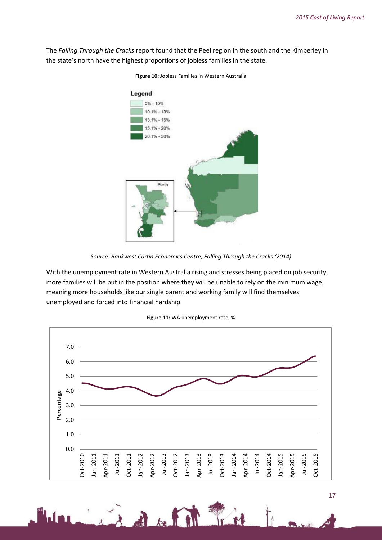The *Falling Through the Cracks* report found that the Peel region in the south and the Kimberley in the state's north have the highest proportions of jobless families in the state.



**Figure 10:** Jobless Families in Western Australia

With the unemployment rate in Western Australia rising and stresses being placed on job security, more families will be put in the position where they will be unable to rely on the minimum wage, meaning more households like our single parent and working family will find themselves unemployed and forced into financial hardship.



 $\frac{1}{2}$ 

*Source: Bankwest Curtin Economics Centre, Falling Through the Cracks (2014)*

**Figure 11:** WA unemployment rate, %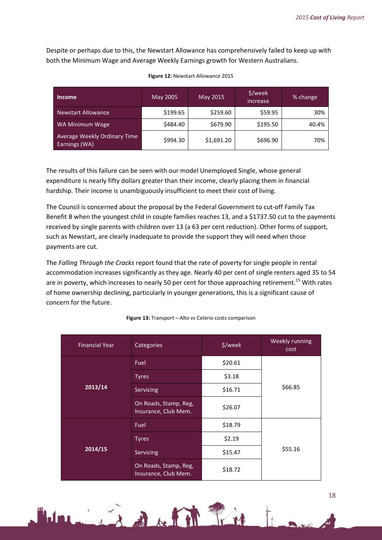Despite or perhaps due to this, the Newstart Allowance has comprehensively failed to keep up with both the Minimum Wage and Average Weekly Earnings growth for Western Australians.

| Income                                        | May 2005 | May 2015   | \$/week<br>increase | % change |
|-----------------------------------------------|----------|------------|---------------------|----------|
| <b>Newstart Allowance</b>                     | \$199.65 | \$259.60   | \$59.95             | 30%      |
| WA Minimum Wage                               | \$484.40 | \$679.90   | \$195.50            | 40.4%    |
| Average Weekly Ordinary Time<br>Earnings (WA) | \$994.30 | \$1,691.20 | \$696.90            | 70%      |

#### **Figure 12:** Newstart Allowance 2015

The results of this failure can be seen with our model Unemployed Single, whose general expenditure is nearly fifty dollars greater than their income, clearly placing them in financial hardship. Their income is unambiguously insufficient to meet their cost of living.

The Council is concerned about the proposal by the Federal Government to cut-off Family Tax Benefit B when the youngest child in couple families reaches 13, and a \$1737.50 cut to the payments received by single parents with children over 13 (a 63 per cent reduction). Other forms of support, such as Newstart, are clearly inadequate to provide the support they will need when those payments are cut.

The *Falling Through the Cracks* report found that the rate of poverty for single people in rental accommodation increases significantly as they age. Nearly 40 per cent of single renters aged 35 to 54 are in poverty, which increases to nearly 50 per cent for those approaching retirement.<sup>15</sup> With rates of home ownership declining, particularly in younger generations, this is a significant cause of concern for the future.

| <b>Financial Year</b> | Categories                                    | \$/week | Weekly running<br>cost |
|-----------------------|-----------------------------------------------|---------|------------------------|
|                       | Fuel                                          | \$20.61 |                        |
|                       | <b>Tyres</b>                                  | \$3.18  |                        |
| 2013/14               | Servicing                                     | \$16.71 | \$66.85                |
|                       | On Roads, Stamp, Reg,<br>Insurance, Club Mem. | \$26.07 |                        |
|                       | Fuel                                          | \$18.79 |                        |
| 2014/15               | <b>Tyres</b>                                  | \$2.19  |                        |
|                       | Servicing                                     | \$15.47 | \$55.16                |
|                       | On Roads, Stamp, Reg,<br>Insurance, Club Mem. | \$18.72 |                        |

#### **Figure 13:** Transport – Alto vs Celerio costs comparison

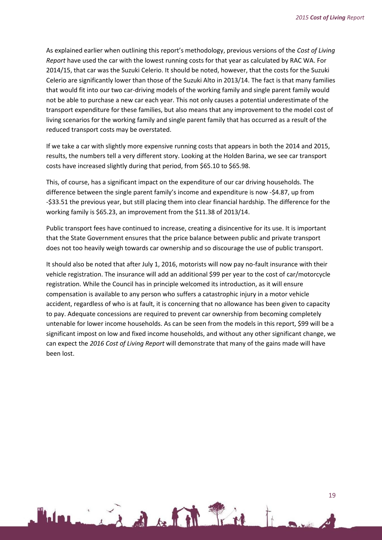As explained earlier when outlining this report's methodology, previous versions of the *Cost of Living Report* have used the car with the lowest running costs for that year as calculated by RAC WA. For 2014/15, that car was the Suzuki Celerio. It should be noted, however, that the costs for the Suzuki Celerio are significantly lower than those of the Suzuki Alto in 2013/14. The fact is that many families that would fit into our two car-driving models of the working family and single parent family would not be able to purchase a new car each year. This not only causes a potential underestimate of the transport expenditure for these families, but also means that any improvement to the model cost of living scenarios for the working family and single parent family that has occurred as a result of the reduced transport costs may be overstated.

If we take a car with slightly more expensive running costs that appears in both the 2014 and 2015, results, the numbers tell a very different story. Looking at the Holden Barina, we see car transport costs have increased slightly during that period, from \$65.10 to \$65.98.

This, of course, has a significant impact on the expenditure of our car driving households. The difference between the single parent family's income and expenditure is now -\$4.87, up from -\$33.51 the previous year, but still placing them into clear financial hardship. The difference for the working family is \$65.23, an improvement from the \$11.38 of 2013/14.

Public transport fees have continued to increase, creating a disincentive for its use. It is important that the State Government ensures that the price balance between public and private transport does not too heavily weigh towards car ownership and so discourage the use of public transport.

It should also be noted that after July 1, 2016, motorists will now pay no-fault insurance with their vehicle registration. The insurance will add an additional \$99 per year to the cost of car/motorcycle registration. While the Council has in principle welcomed its introduction, as it will ensure compensation is available to any person who suffers a catastrophic injury in a motor vehicle accident, regardless of who is at fault, it is concerning that no allowance has been given to capacity to pay. Adequate concessions are required to prevent car ownership from becoming completely untenable for lower income households. As can be seen from the models in this report, \$99 will be a significant impost on low and fixed income households, and without any other significant change, we can expect the *2016 Cost of Living Report* will demonstrate that many of the gains made will have been lost.

1 in Bakter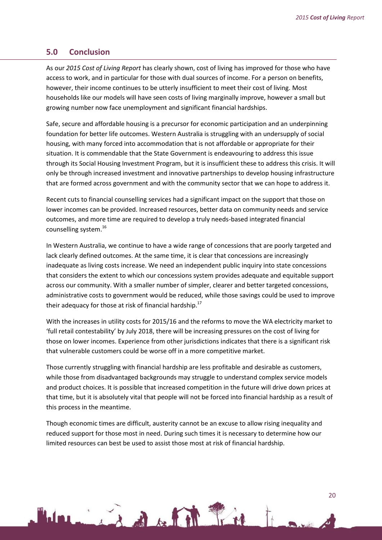## <span id="page-19-0"></span>**5.0 Conclusion**

As our *2015 Cost of Living Report* has clearly shown, cost of living has improved for those who have access to work, and in particular for those with dual sources of income. For a person on benefits, however, their income continues to be utterly insufficient to meet their cost of living. Most households like our models will have seen costs of living marginally improve, however a small but growing number now face unemployment and significant financial hardships.

Safe, secure and affordable housing is a precursor for economic participation and an underpinning foundation for better life outcomes. Western Australia is struggling with an undersupply of social housing, with many forced into accommodation that is not affordable or appropriate for their situation. It is commendable that the State Government is endeavouring to address this issue through its Social Housing Investment Program, but it is insufficient these to address this crisis. It will only be through increased investment and innovative partnerships to develop housing infrastructure that are formed across government and with the community sector that we can hope to address it.

Recent cuts to financial counselling services had a significant impact on the support that those on lower incomes can be provided. Increased resources, better data on community needs and service outcomes, and more time are required to develop a truly needs-based integrated financial counselling system.<sup>16</sup>

In Western Australia, we continue to have a wide range of concessions that are poorly targeted and lack clearly defined outcomes. At the same time, it is clear that concessions are increasingly inadequate as living costs increase. We need an independent public inquiry into state concessions that considers the extent to which our concessions system provides adequate and equitable support across our community. With a smaller number of simpler, clearer and better targeted concessions, administrative costs to government would be reduced, while those savings could be used to improve their adequacy for those at risk of financial hardship.<sup>17</sup>

With the increases in utility costs for 2015/16 and the reforms to move the WA electricity market to 'full retail contestability' by July 2018, there will be increasing pressures on the cost of living for those on lower incomes. Experience from other jurisdictions indicates that there is a significant risk that vulnerable customers could be worse off in a more competitive market.

Those currently struggling with financial hardship are less profitable and desirable as customers, while those from disadvantaged backgrounds may struggle to understand complex service models and product choices. It is possible that increased competition in the future will drive down prices at that time, but it is absolutely vital that people will not be forced into financial hardship as a result of this process in the meantime.

Though economic times are difficult, austerity cannot be an excuse to allow rising inequality and reduced support for those most in need. During such times it is necessary to determine how our limited resources can best be used to assist those most at risk of financial hardship.

11 The September 1977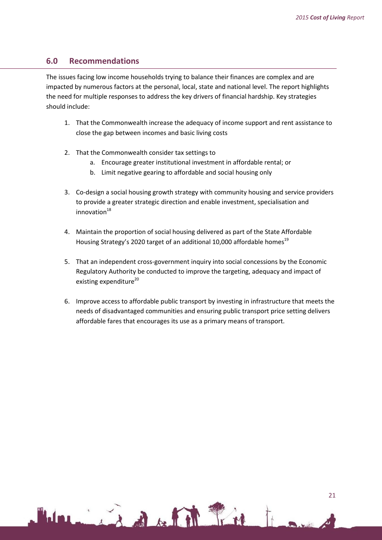# <span id="page-20-0"></span>**6.0 Recommendations**

The issues facing low income households trying to balance their finances are complex and are impacted by numerous factors at the personal, local, state and national level. The report highlights the need for multiple responses to address the key drivers of financial hardship. Key strategies should include:

- 1. That the Commonwealth increase the adequacy of income support and rent assistance to close the gap between incomes and basic living costs
- 2. That the Commonwealth consider tax settings to
	- a. Encourage greater institutional investment in affordable rental; or
	- b. Limit negative gearing to affordable and social housing only
- 3. Co-design a social housing growth strategy with community housing and service providers to provide a greater strategic direction and enable investment, specialisation and innovation $18$
- 4. Maintain the proportion of social housing delivered as part of the State Affordable Housing Strategy's 2020 target of an additional 10,000 affordable homes<sup>19</sup>
- 5. That an independent cross-government inquiry into social concessions by the Economic Regulatory Authority be conducted to improve the targeting, adequacy and impact of existing expenditure<sup>20</sup>
- 6. Improve access to affordable public transport by investing in infrastructure that meets the needs of disadvantaged communities and ensuring public transport price setting delivers affordable fares that encourages its use as a primary means of transport.

Lind Article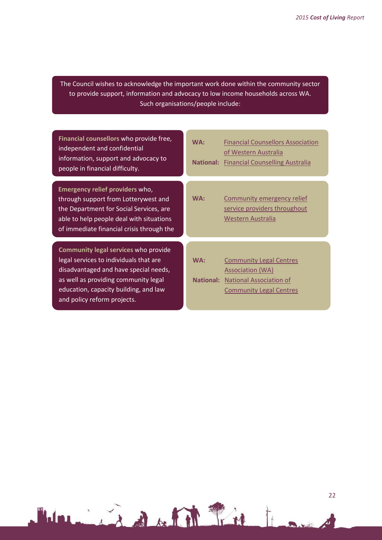The Council wishes to acknowledge the important work done within the community sector to provide support, information and advocacy to low income households across WA. Such organisations/people include:

| Financial counsellors who provide free,                                                                                                                                                                     | <b>Financial Counsellors Association</b>                                               |
|-------------------------------------------------------------------------------------------------------------------------------------------------------------------------------------------------------------|----------------------------------------------------------------------------------------|
| independent and confidential                                                                                                                                                                                | WA:                                                                                    |
| information, support and advocacy to                                                                                                                                                                        | of Western Australia                                                                   |
| people in financial difficulty.                                                                                                                                                                             | <b>National: Financial Counselling Australia</b>                                       |
| Emergency relief providers who,<br>through support from Lotterywest and<br>the Department for Social Services, are<br>able to help people deal with situations<br>of immediate financial crisis through the | WA:<br>Community emergency relief<br>service providers throughout<br>Western Australia |
| Community legal services who provide                                                                                                                                                                        | WA:                                                                                    |
| legal services to individuals that are                                                                                                                                                                      | <b>Community Legal Centres</b>                                                         |
| disadvantaged and have special needs,                                                                                                                                                                       | Association (WA)                                                                       |
| as well as providing community legal                                                                                                                                                                        | <b>National Association of</b>                                                         |
| education, capacity building, and law                                                                                                                                                                       | <b>National:</b>                                                                       |
| and policy reform projects.                                                                                                                                                                                 | <b>Community Legal Centres</b>                                                         |

Holman in de la lite tre to